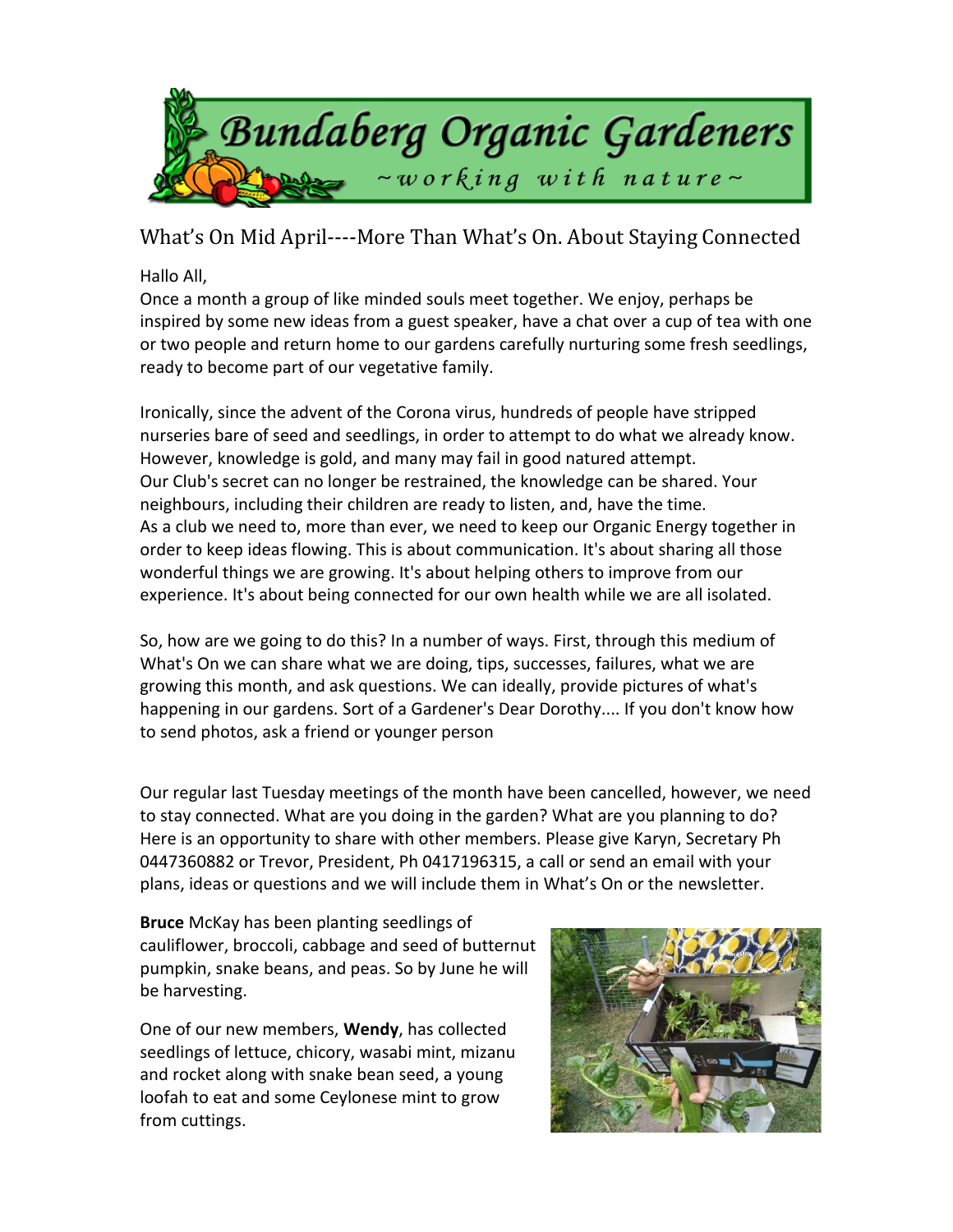

What's On Mid April----More Than What's On. About Staying Connected

## Hallo All,

Once a month a group of like minded souls meet together. We enjoy, perhaps be inspired by some new ideas from a guest speaker, have a chat over a cup of tea with one or two people and return home to our gardens carefully nurturing some fresh seedlings, ready to become part of our vegetative family.

Ironically, since the advent of the Corona virus, hundreds of people have stripped nurseries bare of seed and seedlings, in order to attempt to do what we already know. However, knowledge is gold, and many may fail in good natured attempt. Our Club's secret can no longer be restrained, the knowledge can be shared. Your neighbours, including their children are ready to listen, and, have the time. As a club we need to, more than ever, we need to keep our Organic Energy together in order to keep ideas flowing. This is about communication. It's about sharing all those wonderful things we are growing. It's about helping others to improve from our experience. It's about being connected for our own health while we are all isolated.

So, how are we going to do this? In a number of ways. First, through this medium of What's On we can share what we are doing, tips, successes, failures, what we are growing this month, and ask questions. We can ideally, provide pictures of what's happening in our gardens. Sort of a Gardener's Dear Dorothy.... If you don't know how to send photos, ask a friend or younger person

Our regular last Tuesday meetings of the month have been cancelled, however, we need to stay connected. What are you doing in the garden? What are you planning to do? Here is an opportunity to share with other members. Please give Karyn, Secretary Ph 0447360882 or Trevor, President, Ph 0417196315, a call or send an email with your plans, ideas or questions and we will include them in What's On or the newsletter.

**Bruce** McKay has been planting seedlings of cauliflower, broccoli, cabbage and seed of butternut pumpkin, snake beans, and peas. So by June he will be harvesting.

One of our new members, **Wendy**, has collected seedlings of lettuce, chicory, wasabi mint, mizanu and rocket along with snake bean seed, a young loofah to eat and some Ceylonese mint to grow from cuttings.

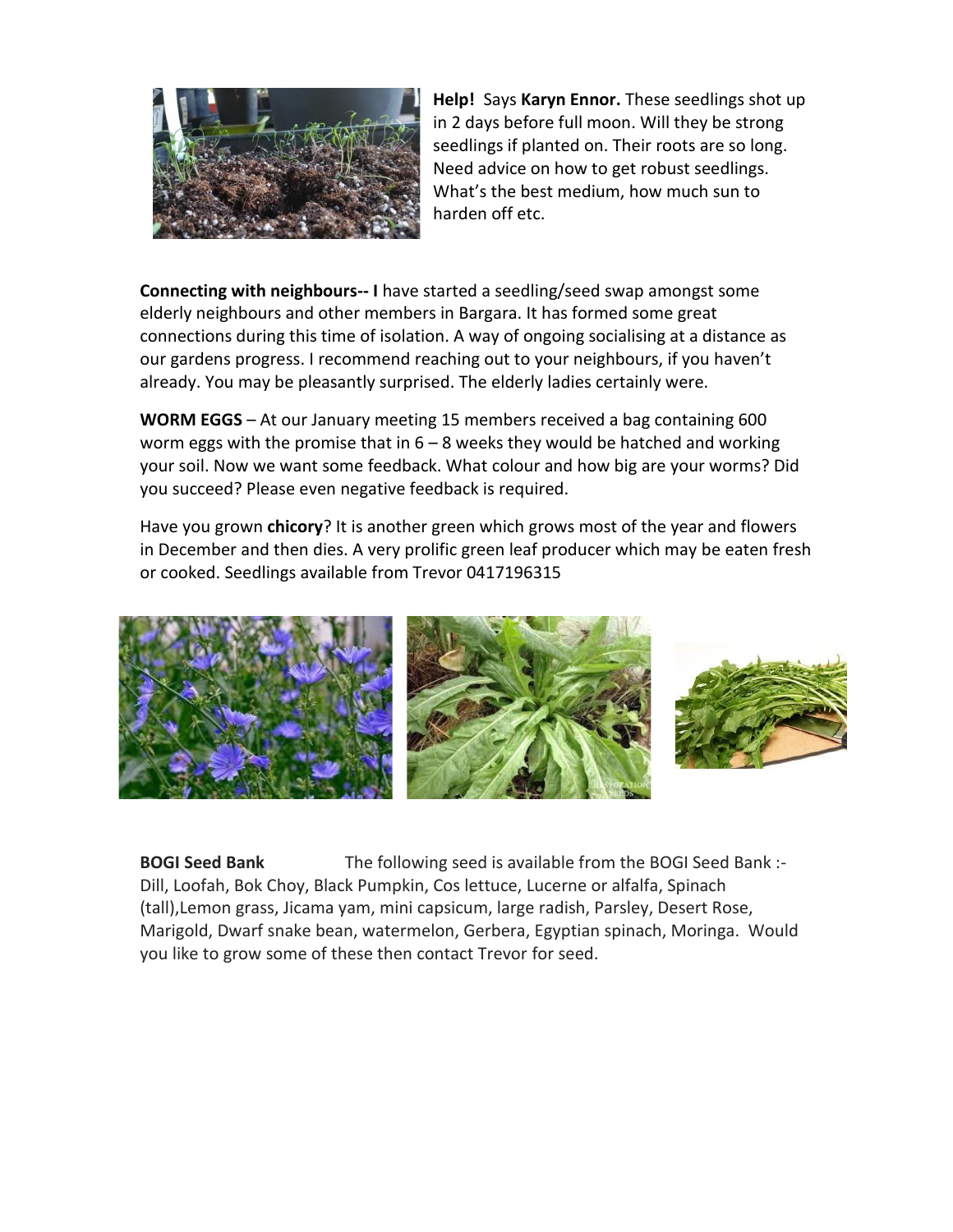

**Help!** Says **Karyn Ennor.** These seedlings shot up in 2 days before full moon. Will they be strong seedlings if planted on. Their roots are so long. Need advice on how to get robust seedlings. What's the best medium, how much sun to harden off etc.

**Connecting with neighbours-- I** have started a seedling/seed swap amongst some elderly neighbours and other members in Bargara. It has formed some great connections during this time of isolation. A way of ongoing socialising at a distance as our gardens progress. I recommend reaching out to your neighbours, if you haven't already. You may be pleasantly surprised. The elderly ladies certainly were.

**WORM EGGS** – At our January meeting 15 members received a bag containing 600 worm eggs with the promise that in  $6 - 8$  weeks they would be hatched and working your soil. Now we want some feedback. What colour and how big are your worms? Did you succeed? Please even negative feedback is required.

Have you grown **chicory**? It is another green which grows most of the year and flowers in December and then dies. A very prolific green leaf producer which may be eaten fresh or cooked. Seedlings available from Trevor 0417196315



**BOGI Seed Bank** The following seed is available from the BOGI Seed Bank :- Dill, Loofah, Bok Choy, Black Pumpkin, Cos lettuce, Lucerne or alfalfa, Spinach (tall),Lemon grass, Jicama yam, mini capsicum, large radish, Parsley, Desert Rose, Marigold, Dwarf snake bean, watermelon, Gerbera, Egyptian spinach, Moringa. Would you like to grow some of these then contact Trevor for seed.